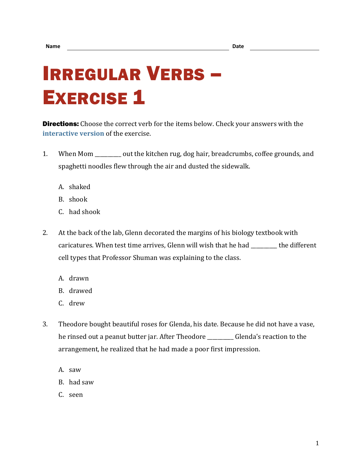## IRREGULAR VERBS – **EXERCISE 1**

**Directions:** Choose the correct verb for the items below. Check your answers with the **[interactive version](https://chompchomp.com/irregular01/)** of the exercise.

- 1. When Mom \_\_\_\_\_\_\_\_\_\_ out the kitchen rug, dog hair, breadcrumbs, coffee grounds, and spaghetti noodles flew through the air and dusted the sidewalk.
	- A. shaked
	- B. shook
	- C. had shook
- 2. At the back of the lab, Glenn decorated the margins of his biology textbook with caricatures. When test time arrives, Glenn will wish that he had \_\_\_\_\_\_\_\_\_\_ the different cell types that Professor Shuman was explaining to the class.
	- A. drawn
	- B. drawed
	- C. drew
- 3. Theodore bought beautiful roses for Glenda, his date. Because he did not have a vase, he rinsed out a peanut butter jar. After Theodore \_\_\_\_\_\_\_\_\_\_ Glenda's reaction to the arrangement, he realized that he had made a poor first impression.
	- A. saw
	- B. had saw
	- C. seen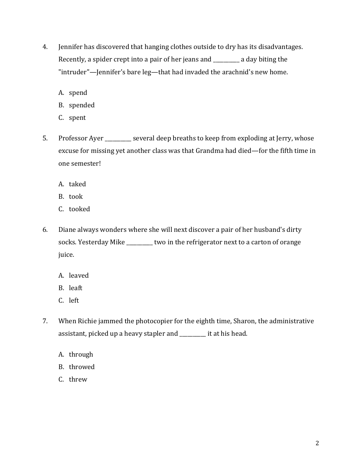- 4. Jennifer has discovered that hanging clothes outside to dry has its disadvantages. Recently, a spider crept into a pair of her jeans and \_\_\_\_\_\_\_\_\_\_ a day biting the "intruder"—Jennifer's bare leg—that had invaded the arachnid's new home.
	- A. spend
	- B. spended
	- C. spent
- 5. Professor Ayer \_\_\_\_\_\_\_\_\_ several deep breaths to keep from exploding at Jerry, whose excuse for missing yet another class was that Grandma had died—for the fifth time in one semester!
	- A. taked
	- B. took
	- C. tooked
- 6. Diane always wonders where she will next discover a pair of her husband's dirty socks. Yesterday Mike \_\_\_\_\_\_\_\_\_\_ two in the refrigerator next to a carton of orange juice.
	- A. leaved
	- B. leaft
	- C. left
- 7. When Richie jammed the photocopier for the eighth time, Sharon, the administrative assistant, picked up a heavy stapler and \_\_\_\_\_\_\_\_\_\_ it at his head.
	- A. through
	- B. throwed
	- C. threw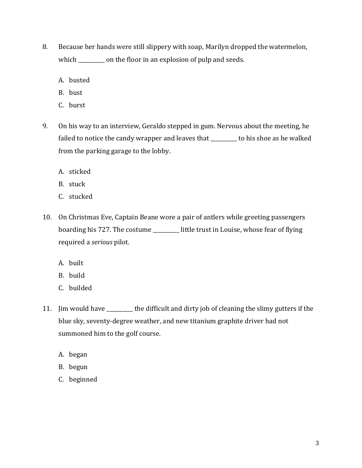- 8. Because her hands were still slippery with soap, Marilyn dropped the watermelon, which \_\_\_\_\_\_\_\_\_\_ on the floor in an explosion of pulp and seeds.
	- A. busted
	- B. bust
	- C. burst
- 9. On his way to an interview, Geraldo stepped in gum. Nervous about the meeting, he failed to notice the candy wrapper and leaves that \_\_\_\_\_\_\_\_\_\_ to his shoe as he walked from the parking garage to the lobby.
	- A. sticked
	- B. stuck
	- C. stucked
- 10. On Christmas Eve, Captain Beane wore a pair of antlers while greeting passengers boarding his 727. The costume \_\_\_\_\_\_\_\_\_\_ little trust in Louise, whose fear of flying required a *serious* pilot.
	- A. built
	- B. build
	- C. builded
- 11. Jim would have \_\_\_\_\_\_\_\_\_\_ the difficult and dirty job of cleaning the slimy gutters if the blue sky, seventy-degree weather, and new titanium graphite driver had not summoned him to the golf course.
	- A. began
	- B. begun
	- C. beginned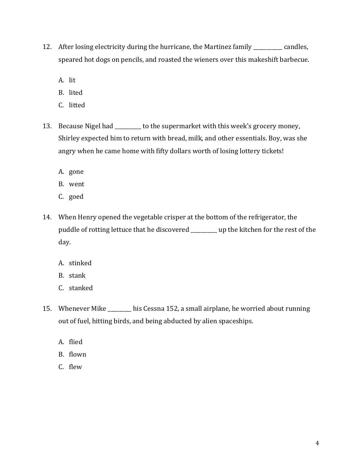- 12. After losing electricity during the hurricane, the Martinez family \_\_\_\_\_\_\_\_\_\_\_ candles, speared hot dogs on pencils, and roasted the wieners over this makeshift barbecue.
	- A. lit
	- B. lited
	- C. litted
- 13. Because Nigel had \_\_\_\_\_\_\_\_ to the supermarket with this week's grocery money, Shirley expected him to return with bread, milk, and other essentials. Boy, was she angry when he came home with fifty dollars worth of losing lottery tickets!
	- A. gone
	- B. went
	- C. goed
- 14. When Henry opened the vegetable crisper at the bottom of the refrigerator, the puddle of rotting lettuce that he discovered \_\_\_\_\_\_\_\_\_\_ up the kitchen for the rest of the day.
	- A. stinked
	- B. stank
	- C. stanked
- 15. Whenever Mike \_\_\_\_\_\_\_\_\_ his Cessna 152, a small airplane, he worried about running out of fuel, hitting birds, and being abducted by alien spaceships.
	- A. flied
	- B. flown
	- C. flew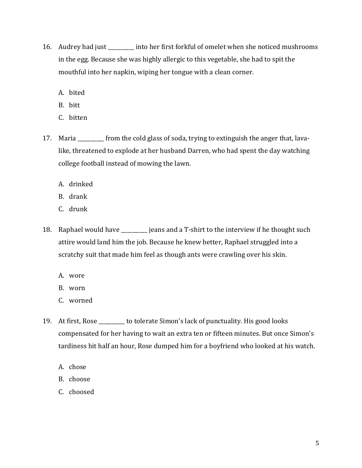- 16. Audrey had just \_\_\_\_\_\_\_\_\_\_ into her first forkful of omelet when she noticed mushrooms in the egg. Because she was highly allergic to this vegetable, she had to spit the mouthful into her napkin, wiping her tongue with a clean corner.
	- A. bited
	- B. bitt
	- C. bitten
- 17. Maria \_\_\_\_\_\_\_\_\_\_ from the cold glass of soda, trying to extinguish the anger that, lavalike, threatened to explode at her husband Darren, who had spent the day watching college football instead of mowing the lawn.
	- A. drinked
	- B. drank
	- C. drunk
- 18. Raphael would have \_\_\_\_\_\_\_\_\_\_ jeans and a T-shirt to the interview if he thought such attire would land him the job. Because he knew better, Raphael struggled into a scratchy suit that made him feel as though ants were crawling over his skin.
	- A. wore
	- B. worn
	- C. worned
- 19. At first, Rose \_\_\_\_\_\_\_\_\_\_ to tolerate Simon's lack of punctuality. His good looks compensated for her having to wait an extra ten or fifteen minutes. But once Simon's tardiness hit half an hour, Rose dumped him for a boyfriend who looked at his watch.
	- A. chose
	- B. choose
	- C. choosed